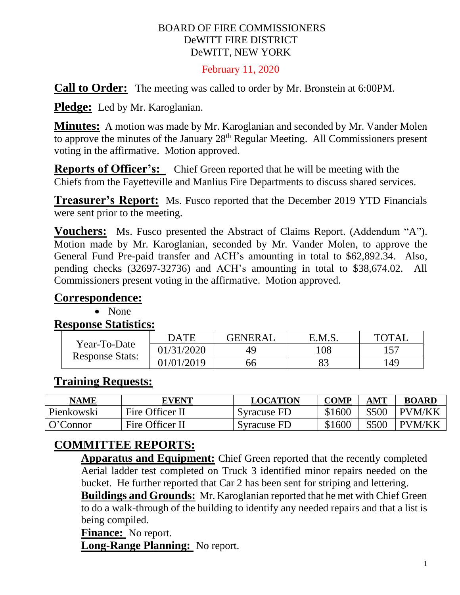#### BOARD OF FIRE COMMISSIONERS DeWITT FIRE DISTRICT DeWITT, NEW YORK

#### February 11, 2020

**Call to Order:** The meeting was called to order by Mr. Bronstein at 6:00PM.

**Pledge:** Led by Mr. Karoglanian.

**Minutes:** A motion was made by Mr. Karoglanian and seconded by Mr. Vander Molen to approve the minutes of the January 28<sup>th</sup> Regular Meeting. All Commissioners present voting in the affirmative. Motion approved.

**Reports of Officer's:** Chief Green reported that he will be meeting with the Chiefs from the Fayetteville and Manlius Fire Departments to discuss shared services.

**Treasurer's Report:** Ms. Fusco reported that the December 2019 YTD Financials were sent prior to the meeting.

**Vouchers:** Ms. Fusco presented the Abstract of Claims Report. (Addendum "A"). Motion made by Mr. Karoglanian, seconded by Mr. Vander Molen, to approve the General Fund Pre-paid transfer and ACH's amounting in total to \$62,892.34. Also, pending checks (32697-32736) and ACH's amounting in total to \$38,674.02. All Commissioners present voting in the affirmative. Motion approved.

#### **Correspondence:**

• None

**Response Statistics:**

| Year-To-Date<br><b>Response Stats:</b> | DATE       | GENERAL | E.M.S    | <b>TOTAL</b> |
|----------------------------------------|------------|---------|----------|--------------|
|                                        | 01/31/2020 | 49      | 108      | 157          |
|                                        | 01/01/2019 | 66      | Οſ<br>o. | 149          |

#### **Training Requests:**

| <b>NAME</b> | <b>EVENT</b>    | LOCATION    | <b>COMP</b> | AMT   | <b>BOARD</b>  |
|-------------|-----------------|-------------|-------------|-------|---------------|
| Pienkowski  | Fire Officer II | Syracuse FD | \$1600      | \$500 | <b>PVM/KK</b> |
| O'Connor    | Fire Officer II | Syracuse FD | \$1600      | \$500 | <b>PVM/KK</b> |

#### **COMMITTEE REPORTS:**

**Apparatus and Equipment:** Chief Green reported that the recently completed Aerial ladder test completed on Truck 3 identified minor repairs needed on the bucket. He further reported that Car 2 has been sent for striping and lettering.

**Buildings and Grounds:** Mr. Karoglanian reported that he met with Chief Green to do a walk-through of the building to identify any needed repairs and that a list is being compiled.

**Finance:** No report.

**Long-Range Planning:** No report.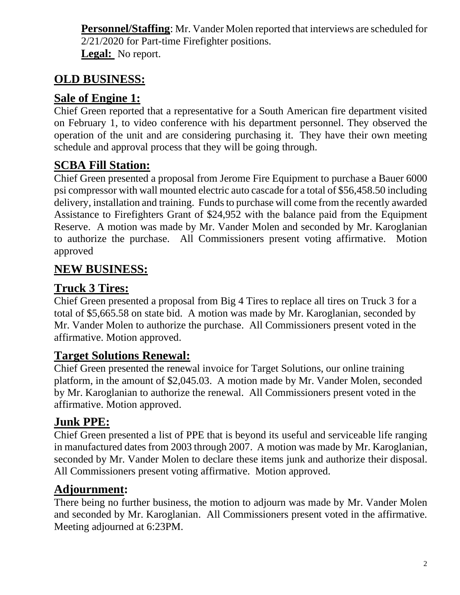**Personnel/Staffing**: Mr. Vander Molen reported that interviews are scheduled for 2/21/2020 for Part-time Firefighter positions. **Legal:** No report.

# **OLD BUSINESS:**

### **Sale of Engine 1:**

Chief Green reported that a representative for a South American fire department visited on February 1, to video conference with his department personnel. They observed the operation of the unit and are considering purchasing it. They have their own meeting schedule and approval process that they will be going through.

# **SCBA Fill Station:**

Chief Green presented a proposal from Jerome Fire Equipment to purchase a Bauer 6000 psi compressor with wall mounted electric auto cascade for a total of \$56,458.50 including delivery, installation and training. Funds to purchase will come from the recently awarded Assistance to Firefighters Grant of \$24,952 with the balance paid from the Equipment Reserve. A motion was made by Mr. Vander Molen and seconded by Mr. Karoglanian to authorize the purchase. All Commissioners present voting affirmative. Motion approved

# **NEW BUSINESS:**

#### **Truck 3 Tires:**

Chief Green presented a proposal from Big 4 Tires to replace all tires on Truck 3 for a total of \$5,665.58 on state bid. A motion was made by Mr. Karoglanian, seconded by Mr. Vander Molen to authorize the purchase. All Commissioners present voted in the affirmative. Motion approved.

### **Target Solutions Renewal:**

Chief Green presented the renewal invoice for Target Solutions, our online training platform, in the amount of \$2,045.03. A motion made by Mr. Vander Molen, seconded by Mr. Karoglanian to authorize the renewal. All Commissioners present voted in the affirmative. Motion approved.

# **Junk PPE:**

Chief Green presented a list of PPE that is beyond its useful and serviceable life ranging in manufactured dates from 2003 through 2007. A motion was made by Mr. Karoglanian, seconded by Mr. Vander Molen to declare these items junk and authorize their disposal. All Commissioners present voting affirmative. Motion approved.

### **Adjournment:**

There being no further business, the motion to adjourn was made by Mr. Vander Molen and seconded by Mr. Karoglanian. All Commissioners present voted in the affirmative. Meeting adjourned at 6:23PM.